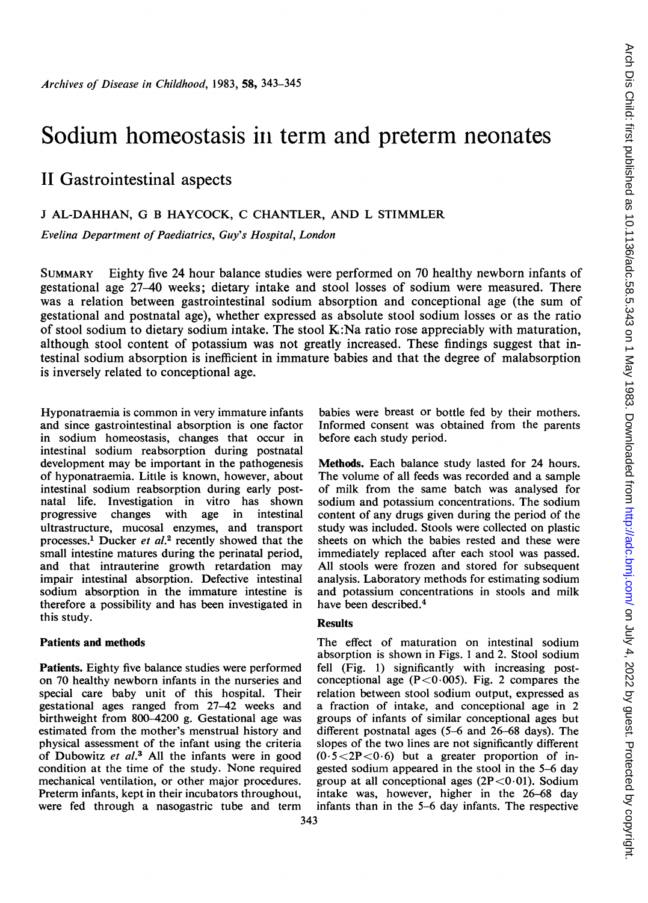# Sodium homeostasis in term and preterm neonates

## IL Gastrointestinal aspects

## <sup>J</sup> AL-DAHHAN, G B HAYCOCK, C CHANTLER, AND L STIMMLER

Evelina Department of Paediatrics, Guy's Hospital, London

SUMMARY Eighty five 24 hour balance studies were performed on 70 healthy newborn infants of gestational age 27-40 weeks; dietary intake and stool losses of sodium were measured. There was a relation between gastrointestinal sodium absorption and conceptional age (the sum of gestational and postnatal age), whether expressed as absolute stool sodium losses or as the ratio of stool sodium to dietary sodium intake. The stool  $K:Na$  ratio rose appreciably with maturation, although stool content of potassium was not greatly increased. These findings suggest that intestinal sodium absorption is inefficient in immature babies and that the degree of malabsorption is inversely related to conceptional age.

Hyponatraemia is common in very immature infants and since gastrointestinal absorption is one factor in sodium homeostasis, changes that occur in intestinal sodium reabsorption during postnatal development may be important in the pathogenesis of hyponatraemia. Little is known, however, about intestinal sodium reabsorption during early postnatal life. Investigation in vitro has shown progressive changes with age in intestinal ultrastructure, mucosal enzymes, and transport processes.<sup>1</sup> Ducker et  $al$ .<sup>2</sup> recently showed that the small intestine matures during the perinatal period, and that intrauterine growth retardation may impair intestinal absorption. Defective intestinal sodium absorption in the immature intestine is therefore a possibility and has been investigated in this study.

## Patients and methods

Patients. Eighty five balance studies were performed on 70 healthy newborn infants in the nurseries and special care baby unit of this hospital. Their gestational ages ranged from 27-42 weeks and birthweight from 800-4200 g. Gestational age was estimated from the mother's menstrual history and physical assessment of the infant using the criteria of Dubowitz et al.<sup>3</sup> All the infants were in good condition at the time of the study. None required mechanical ventilation, or other major procedures. Preterm infants, kept in their incubators throughout, were fed through a nasogastric tube and term babies were breast or bottle fed by their mothers. Informed consent was obtained from the parents before each study period.

Methods. Each balance study lasted for 24 hours. The volume of all feeds was recorded and a sample of milk from the same batch was analysed for sodium and potassium concentrations. The sodium content of any drugs given during the period of the study was included. Stools were collected on plastic sheets on which the babies rested and these were immediately replaced after each stool was passed. All stools were frozen and stored for subsequent analysis. Laboratory methods for estimating sodium and potassium concentrations in stools and milk have been described.4

## **Results**

The effect of maturation on intestinal sodium absorption is shown in Figs. <sup>1</sup> and 2. Stool sodium fell (Fig. 1) significantly with increasing postconceptional age  $(P<0.005)$ . Fig. 2 compares the relation between stool sodium output, expressed as a fraction of intake, and conceptional age in 2 groups of infants of similar conceptional ages but different postnatal ages (5-6 and 26-68 days). The slopes of the two lines are not significantly different  $(0.5 < 2P < 0.6)$  but a greater proportion of ingested sodium appeared in the stool in the 5-6 day group at all conceptional ages  $(2P<0.01)$ . Sodium intake was, however, higher in the 26-68 day infants than in the 5-6 day infants. The respective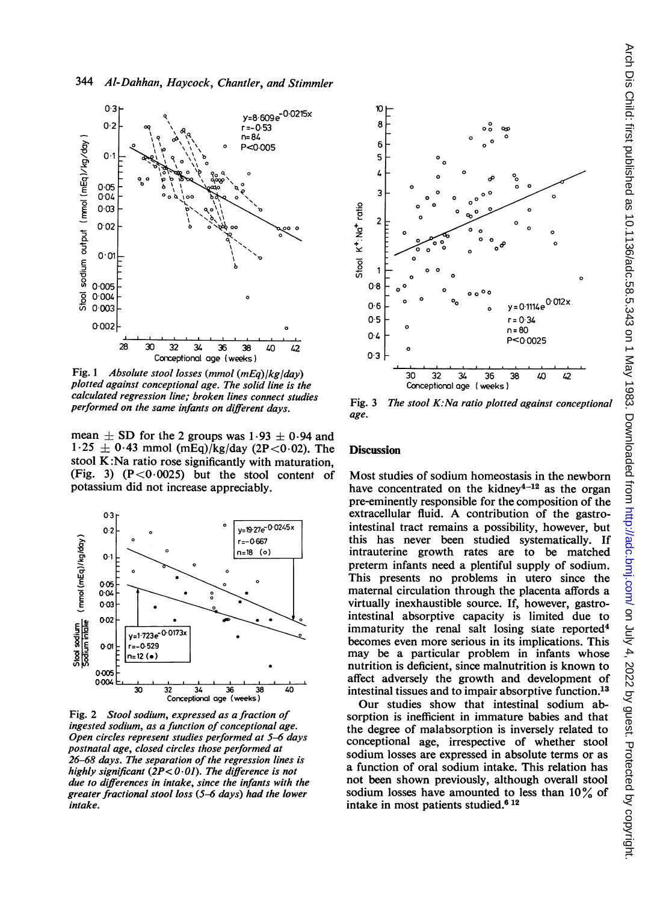

Fig. <sup>1</sup> Absolute stool losses (mmol (mEq)/kg/day) plotted against conceptional age. The solid line is the calculated regression line; broken lines connect studies performed on the same infants on different days.

mean  $\pm$  SD for the 2 groups was 1.93  $\pm$  0.94 and  $1.25 \pm 0.43$  mmol (mEq)/kg/day (2P<0.02). The stool K:Na ratio rose significantly with maturation, (Fig. 3)  $(P<0.0025)$  but the stool content of potassium did not increase appreciably.



Fig. 2 Stool sodium, expressed as a fraction of ingested sodium, as a function of conceptional age. Open circles represent studies performed at 5-6 days postnatal age, closed circles those performed at 26-68 days. The separation of the regression lines is highly significant  $(2P<0.01)$ . The difference is not due to differences in intake, since the infants with the greater fractional stool loss (5-6 days) had the lower intake.



Fig. 3 The stool K:Na ratio plotted against conceptional age.

### **Discussion**

Most studies of sodium homeostasis in the newborn have concentrated on the kidney<sup>4-12</sup> as the organ pre-eminently responsible for the composition of the extracellular fluid. A contribution of the gastrointestinal tract remains a possibility, however, but this has never been studied systematically. If intrauterine growth rates are to be matched preterm infants need a plentiful supply of sodium. This presents no problems in utero since the maternal circulation through the placenta affords a virtually inexhaustible source. If, however, gastrointestinal absorptive capacity is limited due to immaturity the renal salt losing state reported<sup>4</sup> becomes even more serious in its implications. This may be a particular problem in infants whose nutrition is deficient, since malnutrition is known to affect adversely the growth and development of intestinal tissues and to impair absorptive function.13

Our studies show that intestinal sodium absorption is inefficient in immature babies and that the degree of malabsorption is inversely related to conceptional age, irrespective of whether stool sodium losses are expressed in absolute terms or as a function of oral sodium intake. This relation has not been shown previously, although overall stool sodium losses have amounted to less than 10% of intake in most patients studied.6 <sup>12</sup>